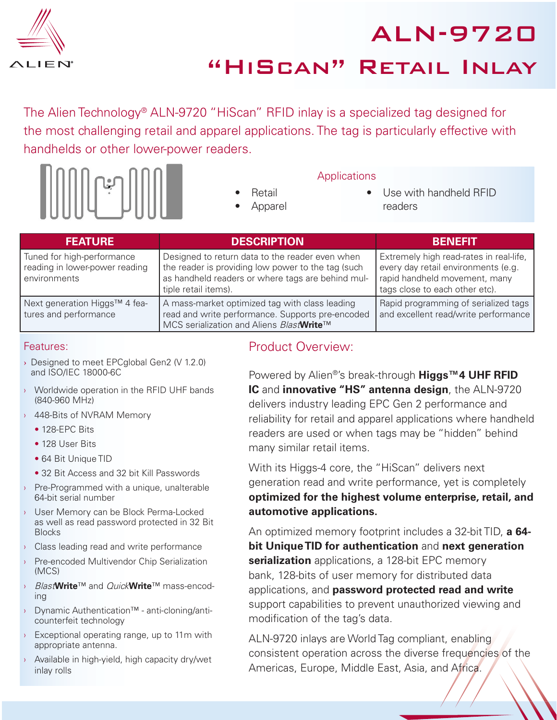

ALN-9720 "HiScan" Retail Inlay

The Alien Technology® ALN-9720 "HiScan" RFID inlay is a specialized tag designed for the most challenging retail and apparel applications. The tag is particularly effective with handhelds or other lower-power readers.



- Retail
- Apparel

#### **Applications**

- 
- Use with handheld RFID readers

| <b>FEATURE</b>                                                               | <b>DESCRIPTION</b>                                                                                                                                                                 | BENEEIT                                                                                                                                           |
|------------------------------------------------------------------------------|------------------------------------------------------------------------------------------------------------------------------------------------------------------------------------|---------------------------------------------------------------------------------------------------------------------------------------------------|
| Tuned for high-performance<br>reading in lower-power reading<br>environments | Designed to return data to the reader even when<br>the reader is providing low power to the tag (such<br>as handheld readers or where tags are behind mul-<br>tiple retail items). | Extremely high read-rates in real-life,<br>every day retail environments (e.g.<br>rapid handheld movement, many<br>tags close to each other etc). |
| Next generation Higgs™ 4 fea-<br>tures and performance                       | A mass-market optimized tag with class leading<br>read and write performance. Supports pre-encoded<br>MCS serialization and Aliens BlastWrite™                                     | Rapid programming of serialized tags<br>and excellent read/write performance                                                                      |

#### Features:

- › Designed to meet EPCglobal Gen2 (V 1.2.0) and ISO/IEC 18000-6C
- › Worldwide operation in the RFID UHF bands (840-960 MHz)
- 448-Bits of NVRAM Memory
	- 128-EPC Bits
	- 128 User Bits
	- 64 Bit Unique TID
	- 32 Bit Access and 32 bit Kill Passwords
- › Pre-Programmed with a unique, unalterable 64-bit serial number
- › User Memory can be Block Perma-Locked as well as read password protected in 32 Bit Blocks
- $\rightarrow$  Class leading read and write performance
- › Pre-encoded Multivendor Chip Serialization (MCS)
- › Blast**Write**™ and Quick**Write**™ mass-encoding
- › Dynamic Authentication™ anti-cloning/anticounterfeit technology
- $\rightarrow$  Exceptional operating range, up to 11m with appropriate antenna.
- › Available in high-yield, high capacity dry/wet inlay rolls

#### Product Overview:

Powered by Alien®'s break-through **Higgs™4 UHF RFID IC** and **innovative "HS" antenna design**, the ALN-9720 delivers industry leading EPC Gen 2 performance and reliability for retail and apparel applications where handheld readers are used or when tags may be "hidden" behind many similar retail items.

With its Higgs-4 core, the "HiScan" delivers next generation read and write performance, yet is completely **optimized for the highest volume enterprise, retail, and automotive applications.**

An optimized memory footprint includes a 32-bit TID, **a 64 bit Unique TID for authentication** and **next generation serialization** applications, a 128-bit EPC memory bank, 128-bits of user memory for distributed data applications, and **password protected read and write** support capabilities to prevent unauthorized viewing and modification of the tag's data.

ALN-9720 inlays are World Tag compliant, enabling consistent operation across the diverse frequencies of the Americas, Europe, Middle East, Asia, and Africa.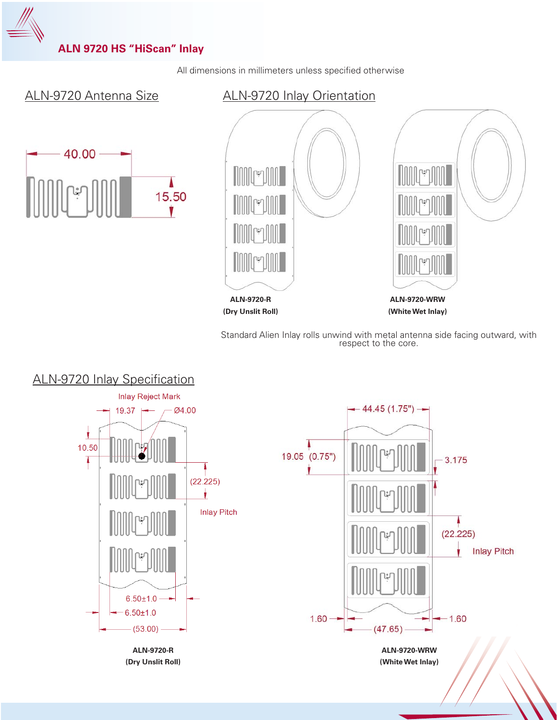

All dimensions in millimeters unless specified otherwise

# ALN-9720 Antenna Size



## ALN-9720 Inlay Orientation



Standard Alien Inlay rolls unwind with metal antenna side facing outward, with respect to the core.

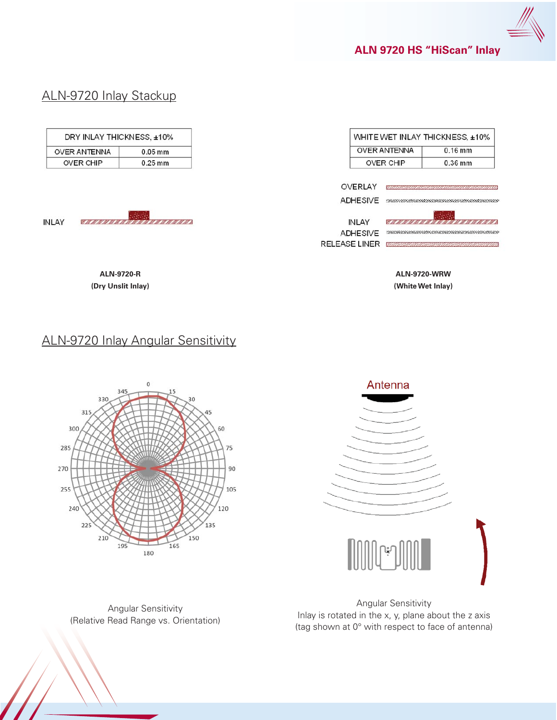

## ALN-9720 Inlay Stackup

|                                        | DRY INLAY THICKNESS, ±10%               |                                 | WHITE WET INLAY THICKNESS, ±10%                         |
|----------------------------------------|-----------------------------------------|---------------------------------|---------------------------------------------------------|
| <b>OVER ANTENNA</b>                    | $0.05$ mm                               | <b>OVER ANTENNA</b>             | $0.16$ mm                                               |
| <b>OVER CHIP</b>                       | $0.25$ mm                               | <b>OVER CHIP</b>                | 0.36 mm                                                 |
|                                        |                                         | OVERLAY<br>ADHESIVE             | <u> ANNA MANAMANA ANNA MANAMANA ANN ANN AN 1999.  T</u> |
| <b>INLAY</b><br><u>a mara a mara a</u> |                                         | <b>INLAY</b><br><b>ADHESIVE</b> | <u> 1979 - 1979 - 1979 - 19</u>                         |
|                                        |                                         | <b>RELEASE LINER</b>            | <u> sonana mammammammammammam</u>                       |
|                                        | <b>ALN-9720-R</b><br>(Dry Unslit Inlay) |                                 | <b>ALN-9720-WRW</b><br>(White Wet Inlay)                |

# ALN-9720 Inlay Angular Sensitivity



Antenna

Angular Sensitivity (Relative Read Range vs. Orientation)

Angular Sensitivity Inlay is rotated in the x, y, plane about the z axis (tag shown at 0° with respect to face of antenna)